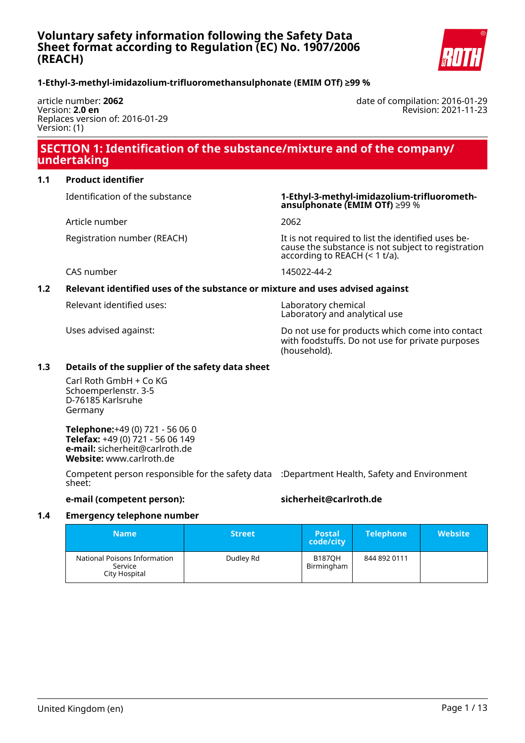

#### **1-Ethyl-3-methyl-imidazolium-trifluoromethansulphonate (EMIM OTf) ≥99 %**

article number: **2062** Version: **2.0 en** Replaces version of: 2016-01-29 Version: (1)

date of compilation: 2016-01-29 Revision: 2021-11-23

### **SECTION 1: Identification of the substance/mixture and of the company/ undertaking**

#### **1.1 Product identifier**

Article number 2062

Identification of the substance **1-Ethyl-3-methyl-imidazolium-trifluoromethansulphonate (EMIM OTf)** ≥99 %

Registration number (REACH) It is not required to list the identified uses because the substance is not subject to registration according to REACH (< 1 t/a).

CAS number 145022-44-2

#### **1.2 Relevant identified uses of the substance or mixture and uses advised against**

Relevant identified uses: Laboratory chemical

Laboratory and analytical use

Uses advised against: Do not use for products which come into contact with foodstuffs. Do not use for private purposes (household).

#### **1.3 Details of the supplier of the safety data sheet**

Carl Roth GmbH + Co KG Schoemperlenstr. 3-5 D-76185 Karlsruhe Germany

**Telephone:**+49 (0) 721 - 56 06 0 **Telefax:** +49 (0) 721 - 56 06 149 **e-mail:** sicherheit@carlroth.de **Website:** www.carlroth.de

Competent person responsible for the safety data :Department Health, Safety and Environment sheet:

#### **e-mail (competent person): sicherheit@carlroth.de**

#### **1.4 Emergency telephone number**

| <b>Name</b>                                              | <b>Street</b> | <b>Postal</b><br>code/city  | <b>Telephone</b> | <b>Website</b> |
|----------------------------------------------------------|---------------|-----------------------------|------------------|----------------|
| National Poisons Information<br>Service<br>City Hospital | Dudley Rd     | <b>B187OH</b><br>Birmingham | 844 892 0111     |                |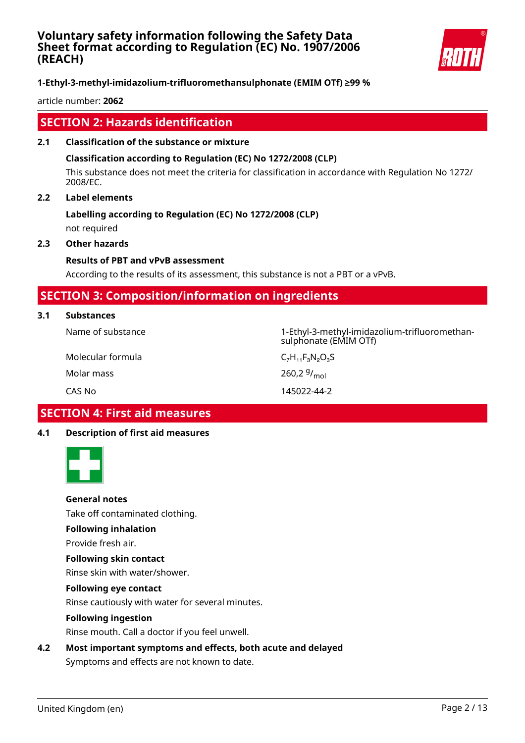

### **1-Ethyl-3-methyl-imidazolium-trifluoromethansulphonate (EMIM OTf) ≥99 %**

article number: **2062**

### **SECTION 2: Hazards identification**

#### **2.1 Classification of the substance or mixture**

#### **Classification according to Regulation (EC) No 1272/2008 (CLP)**

This substance does not meet the criteria for classification in accordance with Regulation No 1272/ 2008/EC.

260,2 $9/_{mol}$ 

#### **2.2 Label elements**

# **Labelling according to Regulation (EC) No 1272/2008 (CLP)**

not required

### **2.3 Other hazards**

### **Results of PBT and vPvB assessment**

According to the results of its assessment, this substance is not a PBT or a vPvB.

### **SECTION 3: Composition/information on ingredients**

#### **3.1 Substances**

Name of substance 1-Ethyl-3-methyl-imidazolium-trifluoromethansulphonate (EMIM OTf)

Molecular formula  $C_7H_{11}F_3N_2O_3S$ Molar mass

CAS No 145022-44-2

# **SECTION 4: First aid measures**

#### **4.1 Description of first aid measures**



### **General notes**

Take off contaminated clothing.

#### **Following inhalation**

Provide fresh air.

#### **Following skin contact**

Rinse skin with water/shower.

#### **Following eye contact**

Rinse cautiously with water for several minutes.

#### **Following ingestion**

Rinse mouth. Call a doctor if you feel unwell.

**4.2 Most important symptoms and effects, both acute and delayed**

Symptoms and effects are not known to date.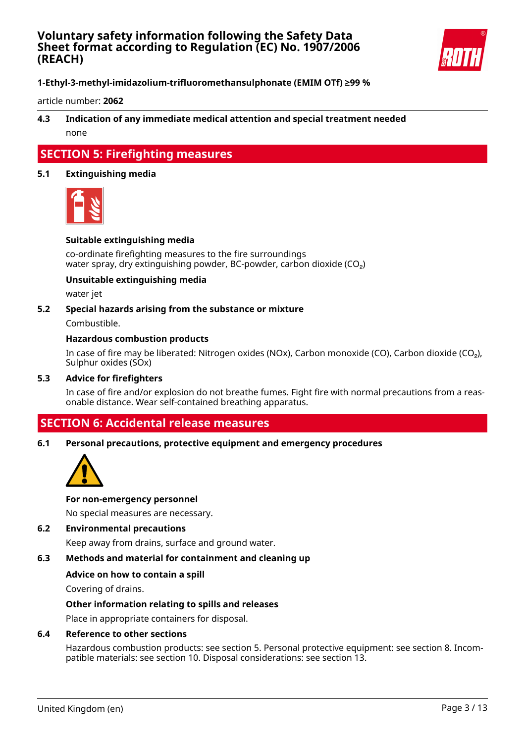

**1-Ethyl-3-methyl-imidazolium-trifluoromethansulphonate (EMIM OTf) ≥99 %**

article number: **2062**

### **4.3 Indication of any immediate medical attention and special treatment needed** none

### **SECTION 5: Firefighting measures**

#### **5.1 Extinguishing media**



#### **Suitable extinguishing media**

co-ordinate firefighting measures to the fire surroundings water spray, dry extinguishing powder, BC-powder, carbon dioxide (CO<sub>2</sub>)

#### **Unsuitable extinguishing media**

water jet

#### **5.2 Special hazards arising from the substance or mixture**

Combustible.

#### **Hazardous combustion products**

In case of fire may be liberated: Nitrogen oxides (NOx), Carbon monoxide (CO), Carbon dioxide (CO₂), Sulphur oxides (SOx)

#### **5.3 Advice for firefighters**

In case of fire and/or explosion do not breathe fumes. Fight fire with normal precautions from a reasonable distance. Wear self-contained breathing apparatus.

### **SECTION 6: Accidental release measures**

#### **6.1 Personal precautions, protective equipment and emergency procedures**



#### **For non-emergency personnel**

No special measures are necessary.

#### **6.2 Environmental precautions**

Keep away from drains, surface and ground water.

#### **6.3 Methods and material for containment and cleaning up**

#### **Advice on how to contain a spill**

Covering of drains.

#### **Other information relating to spills and releases**

Place in appropriate containers for disposal.

#### **6.4 Reference to other sections**

Hazardous combustion products: see section 5. Personal protective equipment: see section 8. Incompatible materials: see section 10. Disposal considerations: see section 13.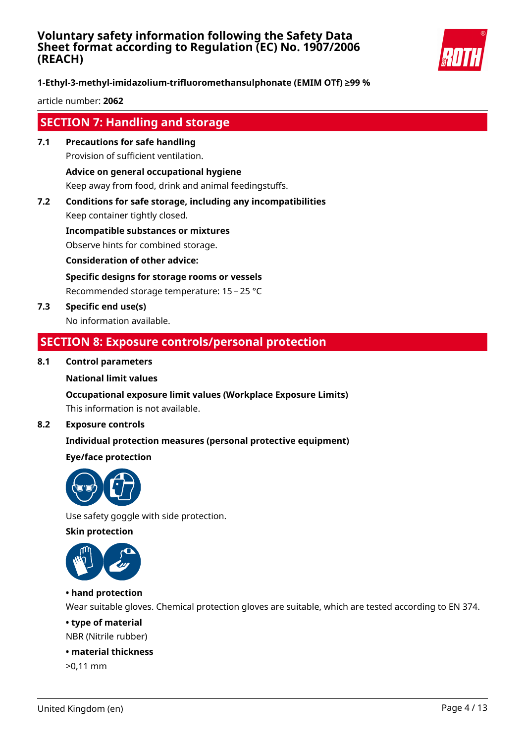

**1-Ethyl-3-methyl-imidazolium-trifluoromethansulphonate (EMIM OTf) ≥99 %**

article number: **2062**

## **SECTION 7: Handling and storage**

**7.1 Precautions for safe handling** Provision of sufficient ventilation.

**Advice on general occupational hygiene**

Keep away from food, drink and animal feedingstuffs.

**7.2 Conditions for safe storage, including any incompatibilities** Keep container tightly closed.

**Incompatible substances or mixtures**

Observe hints for combined storage.

**Consideration of other advice:**

**Specific designs for storage rooms or vessels**

Recommended storage temperature: 15 – 25 °C

**7.3 Specific end use(s)** No information available.

### **SECTION 8: Exposure controls/personal protection**

#### **8.1 Control parameters**

#### **National limit values**

#### **Occupational exposure limit values (Workplace Exposure Limits)**

This information is not available.

#### **8.2 Exposure controls**

### **Individual protection measures (personal protective equipment)**

#### **Eye/face protection**



Use safety goggle with side protection.

**Skin protection**



### **• hand protection**

Wear suitable gloves. Chemical protection gloves are suitable, which are tested according to EN 374.

#### **• type of material**

NBR (Nitrile rubber)

#### **• material thickness**

>0,11 mm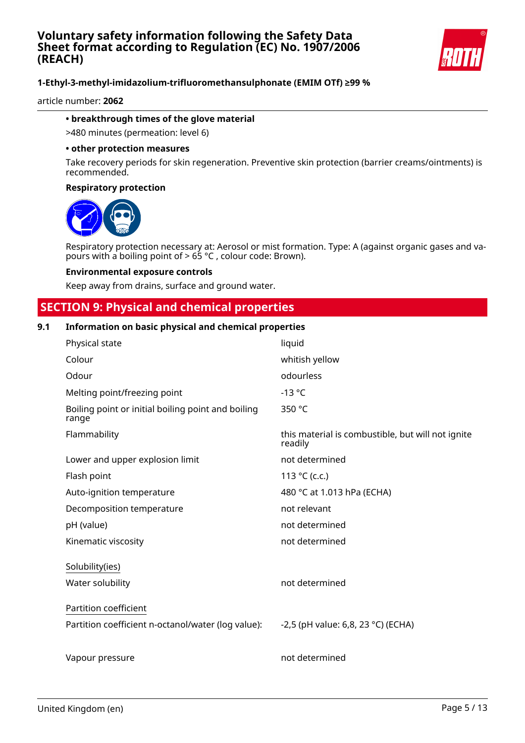

article number: **2062**

#### **• breakthrough times of the glove material**

>480 minutes (permeation: level 6)

#### **• other protection measures**

Take recovery periods for skin regeneration. Preventive skin protection (barrier creams/ointments) is recommended.

#### **Respiratory protection**



Respiratory protection necessary at: Aerosol or mist formation. Type: A (against organic gases and vapours with a boiling point of > 65 °C , colour code: Brown).

#### **Environmental exposure controls**

Keep away from drains, surface and ground water.

### **SECTION 9: Physical and chemical properties**

#### **9.1 Information on basic physical and chemical properties**

| Physical state                                              | liquid                                                       |
|-------------------------------------------------------------|--------------------------------------------------------------|
| Colour                                                      | whitish yellow                                               |
| Odour                                                       | odourless                                                    |
| Melting point/freezing point                                | $-13$ °C                                                     |
| Boiling point or initial boiling point and boiling<br>range | 350 °C                                                       |
| Flammability                                                | this material is combustible, but will not ignite<br>readily |
| Lower and upper explosion limit                             | not determined                                               |
| Flash point                                                 | 113 °C (c.c.)                                                |
| Auto-ignition temperature                                   | 480 °C at 1.013 hPa (ECHA)                                   |
| Decomposition temperature                                   | not relevant                                                 |
| pH (value)                                                  | not determined                                               |
| Kinematic viscosity                                         | not determined                                               |
| Solubility(ies)                                             |                                                              |
| Water solubility                                            | not determined                                               |
| Partition coefficient                                       |                                                              |
| Partition coefficient n-octanol/water (log value):          | -2,5 (pH value: 6,8, 23 °C) (ECHA)                           |
| Vapour pressure                                             | not determined                                               |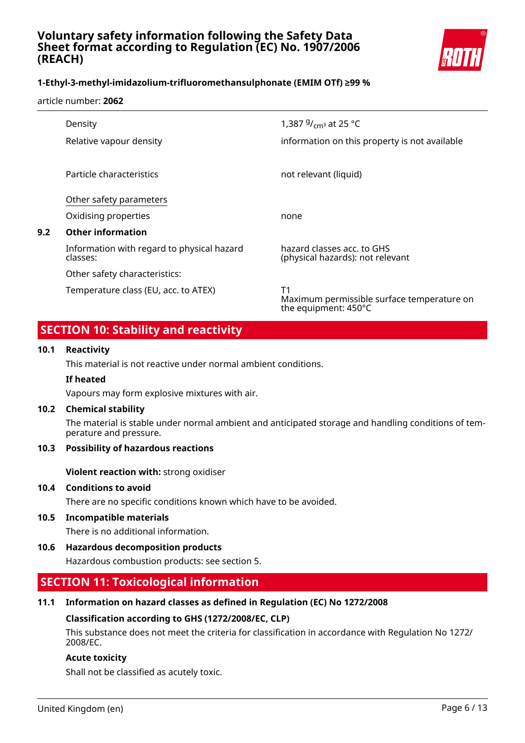

#### article number: **2062**

|     | Density                                                | 1,387 $9/$ <sub>cm</sub> <sub>3</sub> at 25 °C                           |
|-----|--------------------------------------------------------|--------------------------------------------------------------------------|
|     | Relative vapour density                                | information on this property is not available                            |
|     |                                                        |                                                                          |
|     | Particle characteristics                               | not relevant (liquid)                                                    |
|     | Other safety parameters                                |                                                                          |
|     | Oxidising properties                                   | none                                                                     |
| 9.2 | <b>Other information</b>                               |                                                                          |
|     | Information with regard to physical hazard<br>classes: | hazard classes acc. to GHS<br>(physical hazards): not relevant           |
|     | Other safety characteristics:                          |                                                                          |
|     | Temperature class (EU, acc. to ATEX)                   | Τ1<br>Maximum permissible surface temperature on<br>the equipment: 450°C |

### **SECTION 10: Stability and reactivity**

#### **10.1 Reactivity**

This material is not reactive under normal ambient conditions.

#### **If heated**

Vapours may form explosive mixtures with air.

#### **10.2 Chemical stability**

The material is stable under normal ambient and anticipated storage and handling conditions of temperature and pressure.

### **10.3 Possibility of hazardous reactions**

**Violent reaction with:** strong oxidiser

#### **10.4 Conditions to avoid**

There are no specific conditions known which have to be avoided.

#### **10.5 Incompatible materials**

There is no additional information.

**10.6 Hazardous decomposition products**

Hazardous combustion products: see section 5.

### **SECTION 11: Toxicological information**

#### **11.1 Information on hazard classes as defined in Regulation (EC) No 1272/2008**

#### **Classification according to GHS (1272/2008/EC, CLP)**

This substance does not meet the criteria for classification in accordance with Regulation No 1272/ 2008/EC.

#### **Acute toxicity**

Shall not be classified as acutely toxic.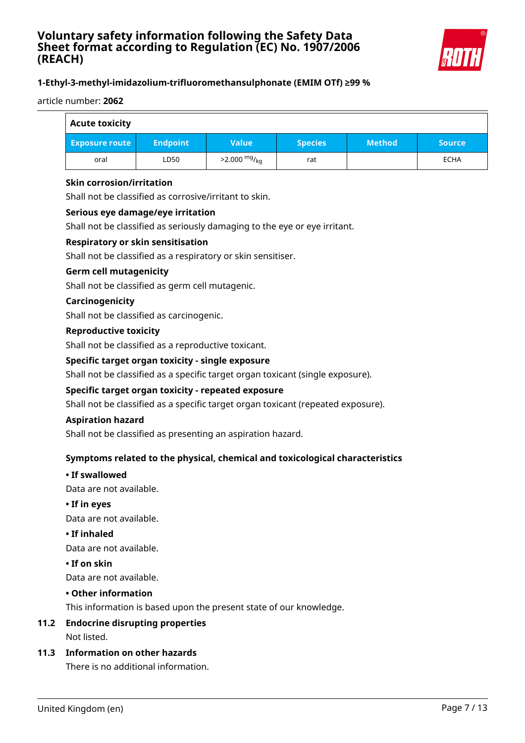

#### article number: **2062**

| <b>Acute toxicity</b> |                 |                        |                |               |               |
|-----------------------|-----------------|------------------------|----------------|---------------|---------------|
| <b>Exposure route</b> | <b>Endpoint</b> | <b>Value</b>           | <b>Species</b> | <b>Method</b> | <b>Source</b> |
| oral                  | LD50            | $>2.000 \frac{mg}{kg}$ | rat            |               | <b>ECHA</b>   |

#### **Skin corrosion/irritation**

Shall not be classified as corrosive/irritant to skin.

#### **Serious eye damage/eye irritation**

Shall not be classified as seriously damaging to the eye or eye irritant.

#### **Respiratory or skin sensitisation**

Shall not be classified as a respiratory or skin sensitiser.

#### **Germ cell mutagenicity**

Shall not be classified as germ cell mutagenic.

#### **Carcinogenicity**

Shall not be classified as carcinogenic.

#### **Reproductive toxicity**

Shall not be classified as a reproductive toxicant.

#### **Specific target organ toxicity - single exposure**

Shall not be classified as a specific target organ toxicant (single exposure).

#### **Specific target organ toxicity - repeated exposure**

Shall not be classified as a specific target organ toxicant (repeated exposure).

#### **Aspiration hazard**

Shall not be classified as presenting an aspiration hazard.

### **Symptoms related to the physical, chemical and toxicological characteristics**

#### **• If swallowed**

Data are not available.

**• If in eyes**

Data are not available.

**• If inhaled**

Data are not available.

#### **• If on skin**

Data are not available.

#### **• Other information**

This information is based upon the present state of our knowledge.

#### **11.2 Endocrine disrupting properties**

Not listed.

#### **11.3 Information on other hazards**

There is no additional information.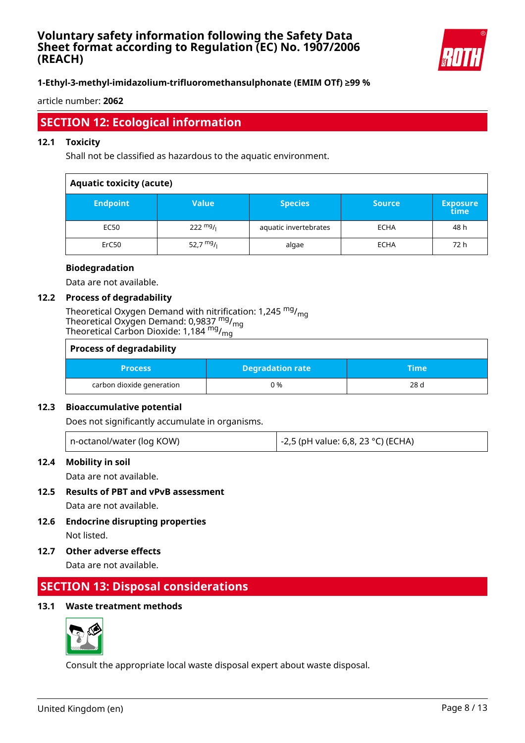

### **1-Ethyl-3-methyl-imidazolium-trifluoromethansulphonate (EMIM OTf) ≥99 %**

article number: **2062**

# **SECTION 12: Ecological information**

#### **12.1 Toxicity**

Shall not be classified as hazardous to the aquatic environment.

| <b>Aquatic toxicity (acute)</b> |                    |                       |               |                         |
|---------------------------------|--------------------|-----------------------|---------------|-------------------------|
| <b>Endpoint</b>                 | <b>Value</b>       | <b>Species</b>        | <b>Source</b> | <b>Exposure</b><br>time |
| EC50                            | $222 \frac{mg}{l}$ | aquatic invertebrates | <b>ECHA</b>   | 48 h                    |
| ErC50                           | 52,7 $mg/1$        | algae                 | <b>ECHA</b>   | 72 h                    |

#### **Biodegradation**

Data are not available.

#### **12.2 Process of degradability**

Theoretical Oxygen Demand with nitrification: 1,245 <sup>mg</sup>/<sub>mg</sub> Theoretical Oxygen Demand: 0,9837 <sup>mg</sup>/<sub>mg</sub> Theoretical Carbon Dioxide: 1,184 <sup>mg</sup>/<sub>mg</sub>

| <b>Process of degradability</b> |                         |      |  |
|---------------------------------|-------------------------|------|--|
| <b>Process</b>                  | <b>Degradation rate</b> | Time |  |
| carbon dioxide generation       | 0 %                     | 28 d |  |

#### **12.3 Bioaccumulative potential**

Does not significantly accumulate in organisms.

#### **12.4 Mobility in soil**

Data are not available.

**12.5 Results of PBT and vPvB assessment**

Data are not available.

- **12.6 Endocrine disrupting properties** Not listed.
- **12.7 Other adverse effects**

Data are not available.

### **SECTION 13: Disposal considerations**

#### **13.1 Waste treatment methods**



Consult the appropriate local waste disposal expert about waste disposal.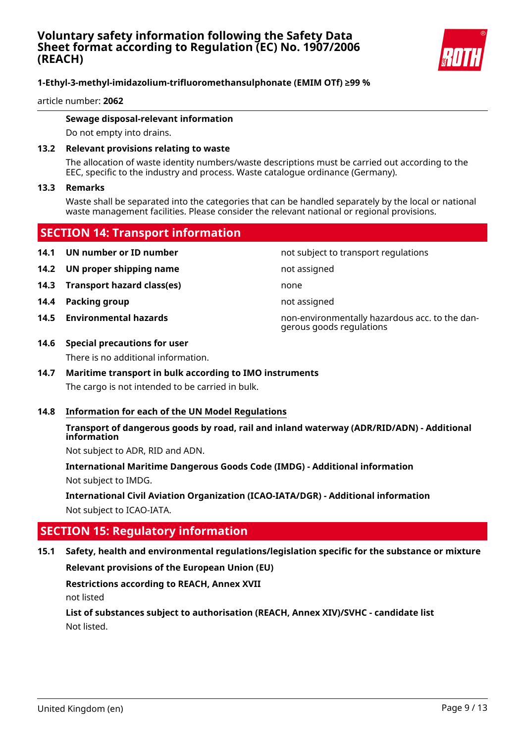

article number: **2062**

#### **Sewage disposal-relevant information**

Do not empty into drains.

#### **13.2 Relevant provisions relating to waste**

The allocation of waste identity numbers/waste descriptions must be carried out according to the EEC, specific to the industry and process. Waste catalogue ordinance (Germany).

#### **13.3 Remarks**

Waste shall be separated into the categories that can be handled separately by the local or national waste management facilities. Please consider the relevant national or regional provisions.

### **SECTION 14: Transport information**

- **14.1 UN number or ID number not subject to transport regulations**
- **14.2 UN proper shipping name** not assigned
- **14.3 Transport hazard class(es)** none
- **14.4 Packing group not assigned not assigned**
- 

**14.5 Environmental hazards** non-environmentally hazardous acc. to the dangerous goods regulations

#### **14.6 Special precautions for user**

There is no additional information.

### **14.7 Maritime transport in bulk according to IMO instruments** The cargo is not intended to be carried in bulk.

#### **14.8 Information for each of the UN Model Regulations**

#### **Transport of dangerous goods by road, rail and inland waterway (ADR/RID/ADN) - Additional information**

Not subject to ADR, RID and ADN.

**International Maritime Dangerous Goods Code (IMDG) - Additional information** Not subject to IMDG.

**International Civil Aviation Organization (ICAO-IATA/DGR) - Additional information** Not subject to ICAO-IATA.

### **SECTION 15: Regulatory information**

### **15.1 Safety, health and environmental regulations/legislation specific for the substance or mixture**

#### **Relevant provisions of the European Union (EU)**

### **Restrictions according to REACH, Annex XVII**

not listed

**List of substances subject to authorisation (REACH, Annex XIV)/SVHC - candidate list** Not listed.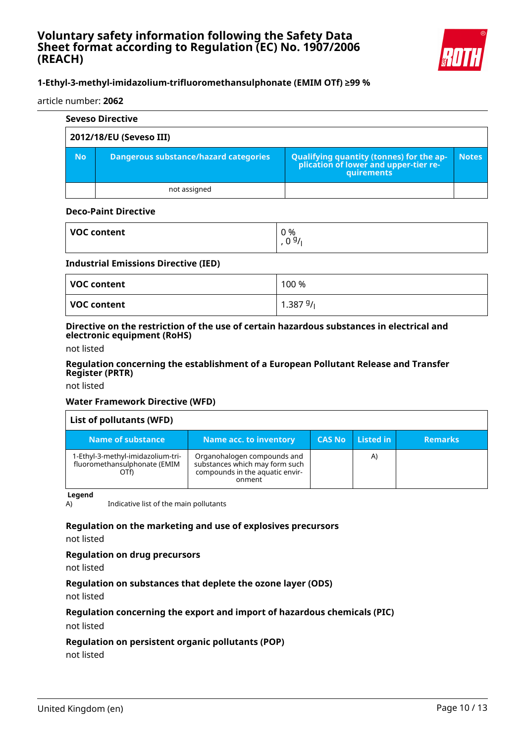

#### article number: **2062**

|                         | <b>Seveso Directive</b>                      |                                                                                            |              |  |  |
|-------------------------|----------------------------------------------|--------------------------------------------------------------------------------------------|--------------|--|--|
| 2012/18/EU (Seveso III) |                                              |                                                                                            |              |  |  |
| <b>No</b>               | <b>Dangerous substance/hazard categories</b> | Qualifying quantity (tonnes) for the application of lower and upper-tier re-<br>quirements | <b>Notes</b> |  |  |
|                         | not assigned                                 |                                                                                            |              |  |  |

#### **Deco-Paint Directive**

| <b>VOC content</b> | 0%<br>0.91<br>∪<br>., |
|--------------------|-----------------------|
|                    |                       |

#### **Industrial Emissions Directive (IED)**

| VOC content | 100 %   |
|-------------|---------|
| VOC content | 1.38791 |

#### **Directive on the restriction of the use of certain hazardous substances in electrical and electronic equipment (RoHS)**

not listed

#### **Regulation concerning the establishment of a European Pollutant Release and Transfer Register (PRTR)**

not listed

#### **Water Framework Directive (WFD)**

| List of pollutants (WFD)                                                  |                                                                                                            |               |              |                |
|---------------------------------------------------------------------------|------------------------------------------------------------------------------------------------------------|---------------|--------------|----------------|
| Name of substance                                                         | Name acc. to inventory                                                                                     | <b>CAS No</b> | Listed in    | <b>Remarks</b> |
| 1-Ethyl-3-methyl-imidazolium-tri-<br>fluoromethansulphonate (EMIM<br>OTf) | Organohalogen compounds and<br>substances which may form such<br>compounds in the aquatic envir-<br>onment |               | $\mathsf{A}$ |                |

**Legend**

A) Indicative list of the main pollutants

#### **Regulation on the marketing and use of explosives precursors**

not listed

#### **Regulation on drug precursors**

not listed

#### **Regulation on substances that deplete the ozone layer (ODS)**

not listed

#### **Regulation concerning the export and import of hazardous chemicals (PIC)**

not listed

#### **Regulation on persistent organic pollutants (POP)**

not listed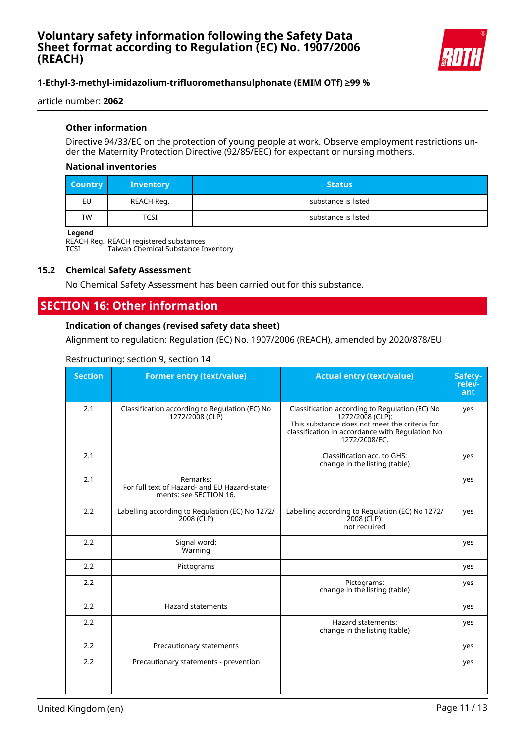

article number: **2062**

#### **Other information**

Directive 94/33/EC on the protection of young people at work. Observe employment restrictions under the Maternity Protection Directive (92/85/EEC) for expectant or nursing mothers.

#### **National inventories**

| <b>Country</b> | <b>Inventory</b> | <b>Status</b>       |  |
|----------------|------------------|---------------------|--|
| EU             | REACH Reg.       | substance is listed |  |
| <b>TW</b>      | TCSI             | substance is listed |  |

#### **Legend**

REACH Reg. REACH registered substances

TCSI Taiwan Chemical Substance Inventory

#### **15.2 Chemical Safety Assessment**

No Chemical Safety Assessment has been carried out for this substance.

# **SECTION 16: Other information**

#### **Indication of changes (revised safety data sheet)**

Alignment to regulation: Regulation (EC) No. 1907/2006 (REACH), amended by 2020/878/EU

#### Restructuring: section 9, section 14

| <b>Section</b> | <b>Former entry (text/value)</b>                                                    | <b>Actual entry (text/value)</b>                                                                                                                                                        | Safety-<br>relev-<br>ant |
|----------------|-------------------------------------------------------------------------------------|-----------------------------------------------------------------------------------------------------------------------------------------------------------------------------------------|--------------------------|
| 2.1            | Classification according to Regulation (EC) No<br>1272/2008 (CLP)                   | Classification according to Regulation (EC) No<br>1272/2008 (CLP):<br>This substance does not meet the criteria for<br>classification in accordance with Regulation No<br>1272/2008/EC. | yes                      |
| 2.1            |                                                                                     | Classification acc. to GHS:<br>change in the listing (table)                                                                                                                            | yes                      |
| 2.1            | Remarks:<br>For full text of Hazard- and EU Hazard-state-<br>ments: see SECTION 16. |                                                                                                                                                                                         | yes                      |
| 2.2            | Labelling according to Regulation (EC) No 1272/<br>$2008$ (CLP)                     | Labelling according to Regulation (EC) No 1272/<br>2008 (CLP):<br>not required                                                                                                          | yes                      |
| 2.2            | Signal word:<br>Warning                                                             |                                                                                                                                                                                         | yes                      |
| 2.2            | Pictograms                                                                          |                                                                                                                                                                                         | yes                      |
| 2.2            |                                                                                     | Pictograms:<br>change in the listing (table)                                                                                                                                            | yes                      |
| 2.2            | <b>Hazard statements</b>                                                            |                                                                                                                                                                                         | yes                      |
| 2.2            |                                                                                     | Hazard statements:<br>change in the listing (table)                                                                                                                                     | yes                      |
| 2.2            | Precautionary statements                                                            |                                                                                                                                                                                         | yes                      |
| 2.2            | Precautionary statements - prevention                                               |                                                                                                                                                                                         | yes                      |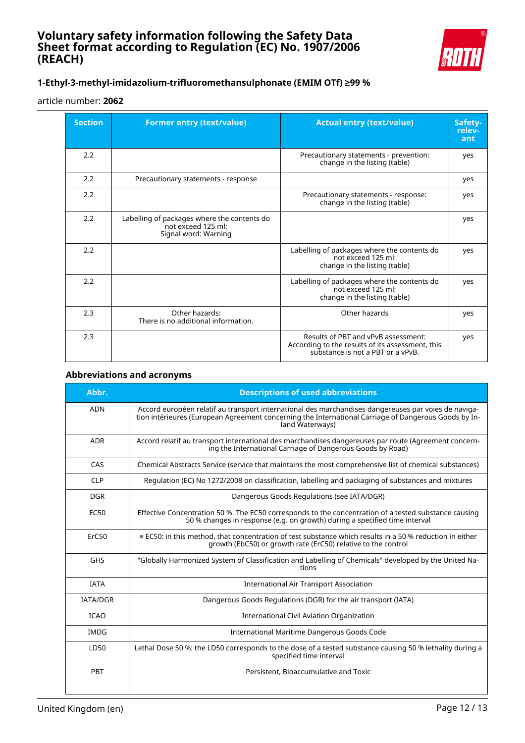

### **1-Ethyl-3-methyl-imidazolium-trifluoromethansulphonate (EMIM OTf) ≥99 %**

#### article number: **2062**

| <b>Section</b> | <b>Former entry (text/value)</b>                                                          | <b>Actual entry (text/value)</b>                                                                                             | Safety-<br>relev-<br>ant |
|----------------|-------------------------------------------------------------------------------------------|------------------------------------------------------------------------------------------------------------------------------|--------------------------|
| 2.2            |                                                                                           | Precautionary statements - prevention:<br>change in the listing (table)                                                      | yes                      |
| 2.2            | Precautionary statements - response                                                       |                                                                                                                              | yes                      |
| 2.2            |                                                                                           | Precautionary statements - response:<br>change in the listing (table)                                                        | yes                      |
| 2.2            | Labelling of packages where the contents do<br>not exceed 125 ml:<br>Signal word: Warning |                                                                                                                              | yes                      |
| 2.2            |                                                                                           | Labelling of packages where the contents do<br>not exceed 125 ml:<br>change in the listing (table)                           | yes                      |
| 2.2            |                                                                                           | Labelling of packages where the contents do<br>not exceed 125 ml:<br>change in the listing (table)                           | yes                      |
| 2.3            | Other hazards:<br>There is no additional information.                                     | Other hazards                                                                                                                | yes                      |
| 2.3            |                                                                                           | Results of PBT and vPvB assessment:<br>According to the results of its assessment, this<br>substance is not a PBT or a vPvB. | yes                      |

### **Abbreviations and acronyms**

| Abbr.           | <b>Descriptions of used abbreviations</b>                                                                                                                                                                                       |
|-----------------|---------------------------------------------------------------------------------------------------------------------------------------------------------------------------------------------------------------------------------|
| <b>ADN</b>      | Accord européen relatif au transport international des marchandises dangereuses par voies de naviga-<br>tion intérieures (European Agreement concerning the International Carriage of Dangerous Goods by In-<br>land Waterways) |
| <b>ADR</b>      | Accord relatif au transport international des marchandises dangereuses par route (Agreement concern-<br>ing the International Carriage of Dangerous Goods by Road)                                                              |
| CAS             | Chemical Abstracts Service (service that maintains the most comprehensive list of chemical substances)                                                                                                                          |
| <b>CLP</b>      | Regulation (EC) No 1272/2008 on classification, labelling and packaging of substances and mixtures                                                                                                                              |
| <b>DGR</b>      | Dangerous Goods Regulations (see IATA/DGR)                                                                                                                                                                                      |
| <b>EC50</b>     | Effective Concentration 50 %. The EC50 corresponds to the concentration of a tested substance causing<br>50 % changes in response (e.g. on growth) during a specified time interval                                             |
| ErC50           | $\equiv$ EC50: in this method, that concentration of test substance which results in a 50 % reduction in either<br>growth (EbC50) or growth rate (ErC50) relative to the control                                                |
| <b>GHS</b>      | "Globally Harmonized System of Classification and Labelling of Chemicals" developed by the United Na-<br>tions                                                                                                                  |
| <b>IATA</b>     | <b>International Air Transport Association</b>                                                                                                                                                                                  |
| <b>IATA/DGR</b> | Dangerous Goods Regulations (DGR) for the air transport (IATA)                                                                                                                                                                  |
| <b>ICAO</b>     | <b>International Civil Aviation Organization</b>                                                                                                                                                                                |
| <b>IMDG</b>     | International Maritime Dangerous Goods Code                                                                                                                                                                                     |
| LD50            | Lethal Dose 50 %: the LD50 corresponds to the dose of a tested substance causing 50 % lethality during a<br>specified time interval                                                                                             |
| PBT             | Persistent, Bioaccumulative and Toxic                                                                                                                                                                                           |